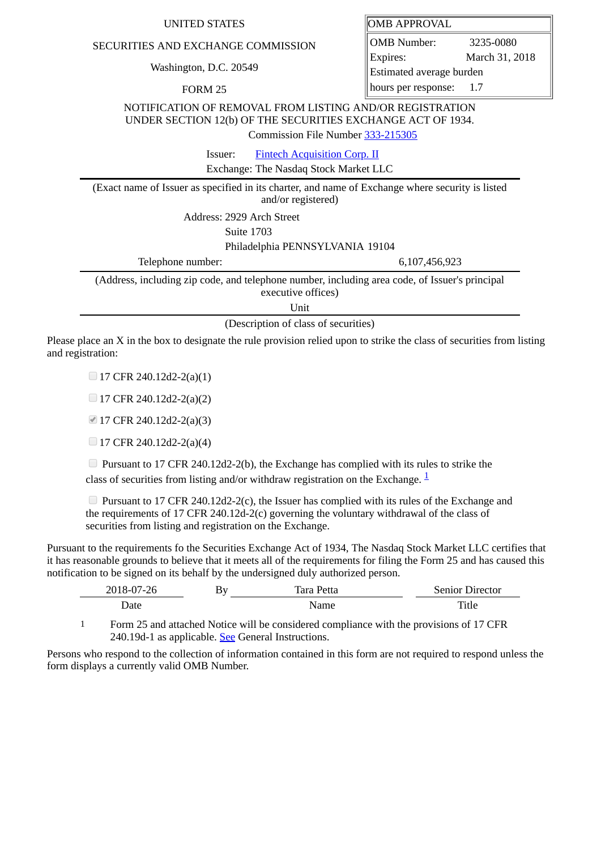## UNITED STATES

## SECURITIES AND EXCHANGE COMMISSION

Washington, D.C. 20549

FORM 25

|  | OMB APPROVAL |
|--|--------------|
|--|--------------|

OMB Number: 3235-0080 Expires: March 31, 2018 Estimated average burden hours per response: 1.7

NOTIFICATION OF REMOVAL FROM LISTING AND/OR REGISTRATION UNDER SECTION 12(b) OF THE SECURITIES EXCHANGE ACT OF 1934.

Commission File Number [333-215305](file:///cgi-bin/browse-edgar?action=getcompany&filenum=333-215305)

Issuer: [Fintech Acquisition Corp. II](http://www.sec.gov/cgi-bin/browse-edgar?action=getcompany&CIK=0001683695)

Exchange: The Nasdaq Stock Market LLC

(Exact name of Issuer as specified in its charter, and name of Exchange where security is listed and/or registered)

Address: 2929 Arch Street

Suite 1703

Philadelphia PENNSYLVANIA 19104

Telephone number: 6,107,456,923

(Address, including zip code, and telephone number, including area code, of Issuer's principal executive offices)

Unit

(Description of class of securities)

Please place an X in the box to designate the rule provision relied upon to strike the class of securities from listing and registration:

 $\Box$  17 CFR 240.12d2-2(a)(1)

 $\Box$  17 CFR 240.12d2-2(a)(2)

■ 17 CFR 240.12d2-2(a)(3)

 $\Box$  17 CFR 240.12d2-2(a)(4)

**Pursuant to 17 CFR 240.12d2-2(b), the Exchange has complied with its rules to strike the** class of securities from listing and/or withdraw registration on the Exchange.  $\frac{1}{2}$  $\frac{1}{2}$  $\frac{1}{2}$ 

**Pursuant to 17 CFR 240.12d2-2(c), the Issuer has complied with its rules of the Exchange and** the requirements of 17 CFR 240.12d-2(c) governing the voluntary withdrawal of the class of securities from listing and registration on the Exchange.

Pursuant to the requirements fo the Securities Exchange Act of 1934, The Nasdaq Stock Market LLC certifies that it has reasonable grounds to believe that it meets all of the requirements for filing the Form 25 and has caused this notification to be signed on its behalf by the undersigned duly authorized person.

| 2018-07-26 | By | Tara Petta | <b>Senior Director</b> |
|------------|----|------------|------------------------|
| Date       |    | Name       | Title                  |

<span id="page-0-0"></span>1 Form 25 and attached Notice will be considered compliance with the provisions of 17 CFR 240.19d-1 as applicable. See General Instructions.

Persons who respond to the collection of information contained in this form are not required to respond unless the form displays a currently valid OMB Number.